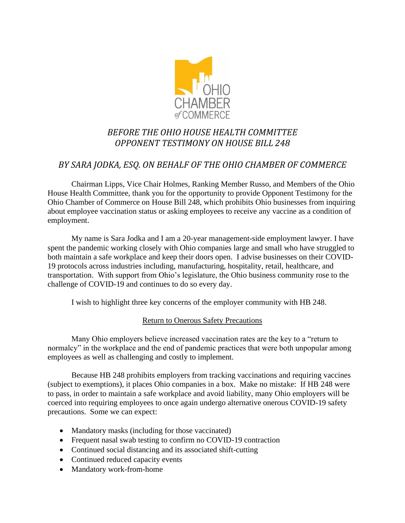

# *BEFORE THE OHIO HOUSE HEALTH COMMITTEE OPPONENT TESTIMONY ON HOUSE BILL 248*

## *BY SARA JODKA, ESQ. ON BEHALF OF THE OHIO CHAMBER OF COMMERCE*

Chairman Lipps, Vice Chair Holmes, Ranking Member Russo, and Members of the Ohio House Health Committee, thank you for the opportunity to provide Opponent Testimony for the Ohio Chamber of Commerce on House Bill 248, which prohibits Ohio businesses from inquiring about employee vaccination status or asking employees to receive any vaccine as a condition of employment.

My name is Sara Jodka and I am a 20-year management-side employment lawyer. I have spent the pandemic working closely with Ohio companies large and small who have struggled to both maintain a safe workplace and keep their doors open. I advise businesses on their COVID-19 protocols across industries including, manufacturing, hospitality, retail, healthcare, and transportation. With support from Ohio's legislature, the Ohio business community rose to the challenge of COVID-19 and continues to do so every day.

I wish to highlight three key concerns of the employer community with HB 248.

## Return to Onerous Safety Precautions

Many Ohio employers believe increased vaccination rates are the key to a "return to normalcy" in the workplace and the end of pandemic practices that were both unpopular among employees as well as challenging and costly to implement.

Because HB 248 prohibits employers from tracking vaccinations and requiring vaccines (subject to exemptions), it places Ohio companies in a box. Make no mistake: If HB 248 were to pass, in order to maintain a safe workplace and avoid liability, many Ohio employers will be coerced into requiring employees to once again undergo alternative onerous COVID-19 safety precautions. Some we can expect:

- Mandatory masks (including for those vaccinated)
- Frequent nasal swab testing to confirm no COVID-19 contraction
- Continued social distancing and its associated shift-cutting
- Continued reduced capacity events
- Mandatory work-from-home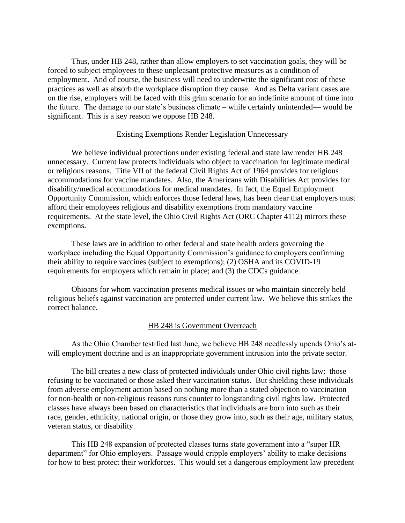Thus, under HB 248, rather than allow employers to set vaccination goals, they will be forced to subject employees to these unpleasant protective measures as a condition of employment. And of course, the business will need to underwrite the significant cost of these practices as well as absorb the workplace disruption they cause. And as Delta variant cases are on the rise, employers will be faced with this grim scenario for an indefinite amount of time into the future. The damage to our state's business climate – while certainly unintended— would be significant. This is a key reason we oppose HB 248.

### Existing Exemptions Render Legislation Unnecessary

We believe individual protections under existing federal and state law render HB 248 unnecessary. Current law protects individuals who object to vaccination for legitimate medical or religious reasons. Title VII of the federal Civil Rights Act of 1964 provides for religious accommodations for vaccine mandates. Also, the Americans with Disabilities Act provides for disability/medical accommodations for medical mandates. In fact, the Equal Employment Opportunity Commission, which enforces those federal laws, has been clear that employers must afford their employees religious and disability exemptions from mandatory vaccine requirements. At the state level, the Ohio Civil Rights Act (ORC Chapter 4112) mirrors these exemptions.

These laws are in addition to other federal and state health orders governing the workplace including the Equal Opportunity Commission's guidance to employers confirming their ability to require vaccines (subject to exemptions); (2) OSHA and its COVID-19 requirements for employers which remain in place; and (3) the CDCs guidance.

Ohioans for whom vaccination presents medical issues or who maintain sincerely held religious beliefs against vaccination are protected under current law. We believe this strikes the correct balance.

#### HB 248 is Government Overreach

As the Ohio Chamber testified last June, we believe HB 248 needlessly upends Ohio's atwill employment doctrine and is an inappropriate government intrusion into the private sector.

The bill creates a new class of protected individuals under Ohio civil rights law: those refusing to be vaccinated or those asked their vaccination status. But shielding these individuals from adverse employment action based on nothing more than a stated objection to vaccination for non-health or non-religious reasons runs counter to longstanding civil rights law. Protected classes have always been based on characteristics that individuals are born into such as their race, gender, ethnicity, national origin, or those they grow into, such as their age, military status, veteran status, or disability.

This HB 248 expansion of protected classes turns state government into a "super HR department" for Ohio employers. Passage would cripple employers' ability to make decisions for how to best protect their workforces. This would set a dangerous employment law precedent